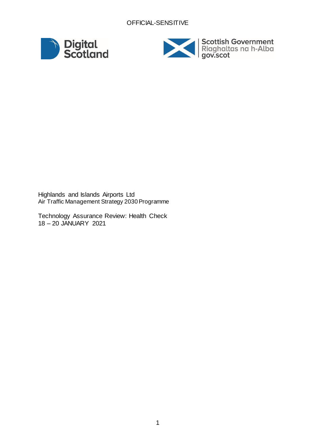



Highlands and Islands Airports Ltd Air Traffic Management Strategy 2030 Programme

Technology Assurance Review: Health Check 18 – 20 JANUARY 2021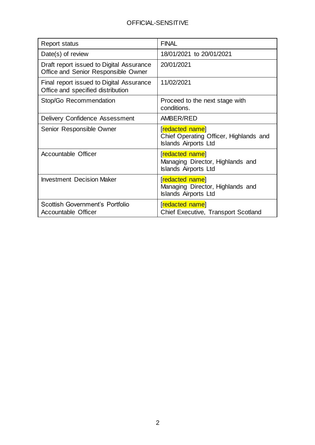| <b>Report status</b>                                                            | <b>FINAL</b>                                                                             |
|---------------------------------------------------------------------------------|------------------------------------------------------------------------------------------|
| Date(s) of review                                                               | 18/01/2021 to 20/01/2021                                                                 |
| Draft report issued to Digital Assurance<br>Office and Senior Responsible Owner | 20/01/2021                                                                               |
| Final report issued to Digital Assurance<br>Office and specified distribution   | 11/02/2021                                                                               |
| Stop/Go Recommendation                                                          | Proceed to the next stage with<br>conditions.                                            |
| Delivery Confidence Assessment                                                  | AMBER/RED                                                                                |
| Senior Responsible Owner                                                        | [redacted name]<br>Chief Operating Officer, Highlands and<br><b>Islands Airports Ltd</b> |
| <b>Accountable Officer</b>                                                      | <b>redacted namel</b><br>Managing Director, Highlands and<br><b>Islands Airports Ltd</b> |
| <b>Investment Decision Maker</b>                                                | <b>redacted namel</b><br>Managing Director, Highlands and<br><b>Islands Airports Ltd</b> |
| Scottish Government's Portfolio<br>Accountable Officer                          | [redacted name]<br><b>Chief Executive, Transport Scotland</b>                            |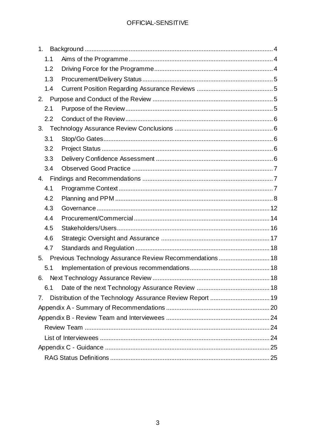| 1 <sub>1</sub> |                                                            |  |
|----------------|------------------------------------------------------------|--|
| 1.1            |                                                            |  |
| 1.2            |                                                            |  |
| 1.3            |                                                            |  |
| 1.4            |                                                            |  |
|                |                                                            |  |
| 2.1            |                                                            |  |
| 2.2            |                                                            |  |
| 3 <sub>1</sub> |                                                            |  |
| 3.1            |                                                            |  |
| 3.2            |                                                            |  |
| 3.3            |                                                            |  |
| 3.4            |                                                            |  |
|                |                                                            |  |
| 4.1            |                                                            |  |
| 4.2            |                                                            |  |
| 4.3            |                                                            |  |
| 4.4            |                                                            |  |
| 4.5            |                                                            |  |
| 4.6            |                                                            |  |
| 4.7            |                                                            |  |
|                | 5. Previous Technology Assurance Review Recommendations 18 |  |
| 5.1            |                                                            |  |
| 6.             |                                                            |  |
| 6.1            |                                                            |  |
| 7.             |                                                            |  |
|                |                                                            |  |
|                |                                                            |  |
|                |                                                            |  |
|                |                                                            |  |
|                |                                                            |  |
|                |                                                            |  |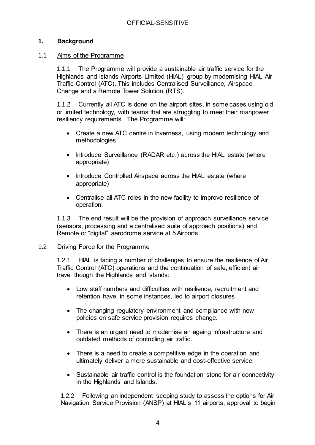## <span id="page-3-0"></span>**1. Background**

#### <span id="page-3-1"></span>1.1 Aims of the Programme

1.1.1 The Programme will provide a sustainable air traffic service for the Highlands and Islands Airports Limited (HIAL) group by modernising HIAL Air Traffic Control (ATC). This includes Centralised Surveillance, Airspace Change and a Remote Tower Solution (RTS).

1.1.2 Currently all ATC is done on the airport sites, in some cases using old or limited technology, with teams that are struggling to meet their manpower resiliency requirements. The Programme will:

- Create a new ATC centre in Inverness, using modern technology and methodologies
- Introduce Surveillance (RADAR etc.) across the HIAL estate (where appropriate)
- Introduce Controlled Airspace across the HIAL estate (where appropriate)
- Centralise all ATC roles in the new facility to improve resilience of operation.

1.1.3 The end result will be the provision of approach surveillance service (sensors, processing and a centralised suite of approach positions) and Remote or "digital" aerodrome service at 5 Airports.

#### <span id="page-3-2"></span>1.2 Driving Force for the Programme

1.2.1 HIAL is facing a number of challenges to ensure the resilience of Air Traffic Control (ATC) operations and the continuation of safe, efficient air travel though the Highlands and Islands:

- Low staff numbers and difficulties with resilience, recruitment and retention have, in some instances, led to airport closures
- The changing regulatory environment and compliance with new policies on safe service provision requires change.
- There is an urgent need to modernise an ageing infrastructure and outdated methods of controlling air traffic.
- There is a need to create a competitive edge in the operation and ultimately deliver a more sustainable and cost-effective service.
- Sustainable air traffic control is the foundation stone for air connectivity in the Highlands and Islands.

1.2.2 Following an independent scoping study to assess the options for Air Navigation Service Provision (ANSP) at HIAL's 11 airports, approval to begin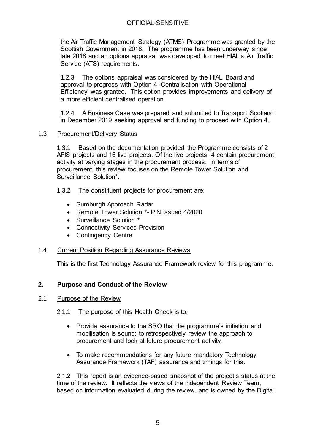the Air Traffic Management Strategy (ATMS) Programme was granted by the Scottish Government in 2018. The programme has been underway since late 2018 and an options appraisal was developed to meet HIAL's Air Traffic Service (ATS) requirements.

1.2.3 The options appraisal was considered by the HIAL Board and approval to progress with Option 4 'Centralisation with Operational Efficiency' was granted. This option provides improvements and delivery of a more efficient centralised operation.

1.2.4 A Business Case was prepared and submitted to Transport Scotland in December 2019 seeking approval and funding to proceed with Option 4.

#### <span id="page-4-0"></span>1.3 Procurement/Delivery Status

1.3.1 Based on the documentation provided the Programme consists of 2 AFIS projects and 16 live projects. Of the live projects 4 contain procurement activity at varying stages in the procurement process. In terms of procurement, this review focuses on the Remote Tower Solution and Surveillance Solution\*.

- 1.3.2 The constituent projects for procurement are:
	- Sumburgh Approach Radar
	- Remote Tower Solution \*- PIN issued 4/2020
	- Surveillance Solution \*
	- Connectivity Services Provision
	- Contingency Centre

#### <span id="page-4-1"></span>1.4 Current Position Regarding Assurance Reviews

This is the first Technology Assurance Framework review for this programme.

#### <span id="page-4-2"></span>**2. Purpose and Conduct of the Review**

#### <span id="page-4-3"></span>2.1 Purpose of the Review

- 2.1.1 The purpose of this Health Check is to:
	- Provide assurance to the SRO that the programme's initiation and mobilisation is sound; to retrospectively review the approach to procurement and look at future procurement activity.
	- To make recommendations for any future mandatory Technology Assurance Framework (TAF) assurance and timings for this.

2.1.2 This report is an evidence-based snapshot of the project's status at the time of the review. It reflects the views of the independent Review Team, based on information evaluated during the review, and is owned by the Digital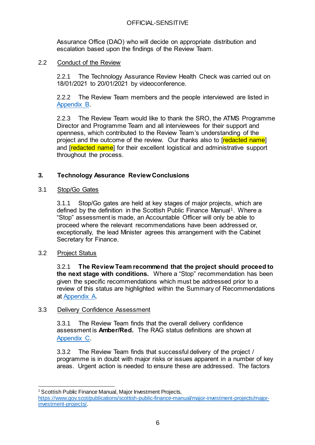Assurance Office (DAO) who will decide on appropriate distribution and escalation based upon the findings of the Review Team.

## <span id="page-5-0"></span>2.2 Conduct of the Review

2.2.1 The Technology Assurance Review Health Check was carried out on 18/01/2021 to 20/01/2021 by videoconference.

2.2.2 The Review Team members and the people interviewed are listed in [Appendix B.](#page-23-0)

2.2.3 The Review Team would like to thank the SRO, the ATMS Programme Director and Programme Team and all interviewees for their support and openness, which contributed to the Review Team's understanding of the project and the outcome of the review. Our thanks also to [redacted name] and **[redacted name**] for their excellent logistical and administrative support throughout the process.

## <span id="page-5-1"></span>**3. Technology Assurance Review Conclusions**

#### <span id="page-5-2"></span>3.1 Stop/Go Gates

3.1.1 Stop/Go gates are held at key stages of major projects, which are defined by the definition in the Scottish Public Finance Manual<sup>1</sup>. Where a "Stop" assessment is made, an Accountable Officer will only be able to proceed where the relevant recommendations have been addressed or, exceptionally, the lead Minister agrees this arrangement with the Cabinet Secretary for Finance.

#### <span id="page-5-3"></span>3.2 Project Status

3.2.1 **The Review Team recommend that the project should proceed to the next stage with conditions.** Where a "Stop" recommendation has been given the specific recommendations which must be addressed prior to a review of this status are highlighted within the Summary of Recommendations at [Appendix A.](#page-19-0)

#### <span id="page-5-4"></span>3.3 Delivery Confidence Assessment

3.3.1 The Review Team finds that the overall delivery confidence assessment is **Amber/Red.** The RAG status definitions are shown at [Appendix](#page-24-0) C.

3.3.2 The Review Team finds that successful delivery of the project / programme is in doubt with major risks or issues apparent in a number of key areas. Urgent action is needed to ensure these are addressed. The factors

j <sup>1</sup> Scottish Public Finance Manual, Major Investment Projects,

[https://www.gov.scot/publications/scottish-public-finance-manual/major-investment-projects/major](https://www.gov.scot/publications/scottish-public-finance-manual/major-investment-projects/major-investment-projects/)[investment-projects/](https://www.gov.scot/publications/scottish-public-finance-manual/major-investment-projects/major-investment-projects/).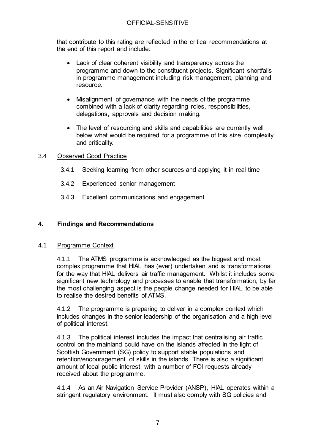that contribute to this rating are reflected in the critical recommendations at the end of this report and include:

- Lack of clear coherent visibility and transparency across the programme and down to the constituent projects. Significant shortfalls in programme management including risk management, planning and resource.
- Misalignment of governance with the needs of the programme combined with a lack of clarity regarding roles, responsibilities, delegations, approvals and decision making.
- The level of resourcing and skills and capabilities are currently well below what would be required for a programme of this size, complexity and criticality.

## <span id="page-6-0"></span>3.4 Observed Good Practice

- 3.4.1 Seeking learning from other sources and applying it in real time
- 3.4.2 Experienced senior management
- 3.4.3 Excellent communications and engagement

## <span id="page-6-1"></span>**4. Findings and Recommendations**

#### <span id="page-6-2"></span>4.1 Programme Context

4.1.1 The ATMS programme is acknowledged as the biggest and most complex programme that HIAL has (ever) undertaken and is transformational for the way that HIAL delivers air traffic management. Whilst it includes some significant new technology and processes to enable that transformation, by far the most challenging aspect is the people change needed for HIAL to be able to realise the desired benefits of ATMS.

4.1.2 The programme is preparing to deliver in a complex context which includes changes in the senior leadership of the organisation and a high level of political interest.

4.1.3 The political interest includes the impact that centralising air traffic control on the mainland could have on the islands affected in the light of Scottish Government (SG) policy to support stable populations and retention/encouragement of skills in the islands. There is also a significant amount of local public interest, with a number of FOI requests already received about the programme.

4.1.4 As an Air Navigation Service Provider (ANSP), HIAL operates within a stringent regulatory environment. It must also comply with SG policies and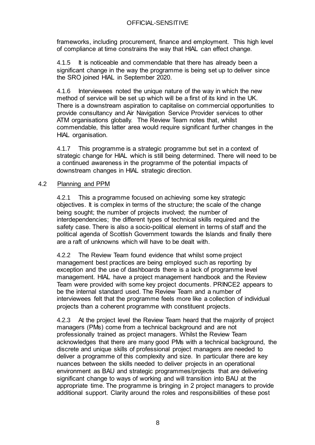frameworks, including procurement, finance and employment. This high level of compliance at time constrains the way that HIAL can effect change.

4.1.5 It is noticeable and commendable that there has already been a significant change in the way the programme is being set up to deliver since the SRO joined HIAL in September 2020.

4.1.6 Interviewees noted the unique nature of the way in which the new method of service will be set up which will be a first of its kind in the UK. There is a downstream aspiration to capitalise on commercial opportunities to provide consultancy and Air Navigation Service Provider services to other ATM organisations globally. The Review Team notes that, whilst commendable, this latter area would require significant further changes in the HIAL organisation.

4.1.7 This programme is a strategic programme but set in a context of strategic change for HIAL which is still being determined. There will need to be a continued awareness in the programme of the potential impacts of downstream changes in HIAL strategic direction.

## <span id="page-7-0"></span>4.2 Planning and PPM

4.2.1 This a programme focused on achieving some key strategic objectives. It is complex in terms of the structure; the scale of the change being sought; the number of projects involved; the number of interdependencies; the different types of technical skills required and the safety case. There is also a socio-political element in terms of staff and the political agenda of Scottish Government towards the Islands and finally there are a raft of unknowns which will have to be dealt with.

4.2.2 The Review Team found evidence that whilst some project management best practices are being employed such as reporting by exception and the use of dashboards there is a lack of programme level management. HIAL have a project management handbook and the Review Team were provided with some key project documents. PRINCE2 appears to be the internal standard used. The Review Team and a number of interviewees felt that the programme feels more like a collection of individual projects than a coherent programme with constituent projects.

4.2.3 At the project level the Review Team heard that the majority of project managers (PMs) come from a technical background and are not professionally trained as project managers. Whilst the Review Team acknowledges that there are many good PMs with a technical background, the discrete and unique skills of professional project managers are needed to deliver a programme of this complexity and size. In particular there are key nuances between the skills needed to deliver projects in an operational environment as BAU and strategic programmes/projects that are delivering significant change to ways of working and will transition into BAU at the appropriate time. The programme is bringing in 2 project managers to provide additional support. Clarity around the roles and responsibilities of these post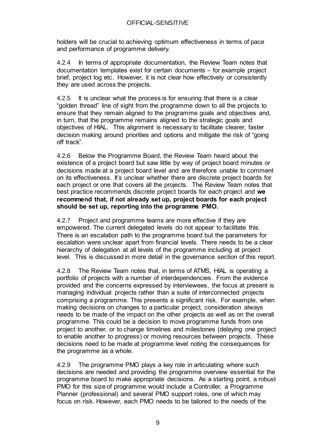holders will be crucial to achieving optimum effectiveness in terms of pace and performance of programme delivery.

4.2.4 In terms of appropriate documentation, the Review Team notes that documentation templates exist for certain documents – for example project brief, project log etc. However, it is not clear how effectively or consistently they are used across the projects.

4.2.5 It is unclear what the process is for ensuring that there is a clear "golden thread" line of sight from the programme down to all the projects to ensure that they remain aligned to the programme goals and objectives and, in turn, that the programme remains aligned to the strategic goals and objectives of HIAL. This alignment is necessary to facilitate clearer, faster decision making around priorities and options and mitigate the risk of "going off track".

4.2.6 Below the Programme Board, the Review Team heard about the existence of a project board but saw little by way of project board minutes or decisions made at a project board level and are therefore unable to comment on its effectiveness. It's unclear whether there are discrete project boards for each project or one that covers all the projects. The Review Team notes that best practice recommends discrete project boards for each project and **we recommend that, if not already set up, project boards for each project should be set up, reporting into the programme PMO.**

4.2.7 Project and programme teams are more effective if they are empowered. The current delegated levels do not appear to facilitate this. There is an escalation path to the programme board but the parameters for escalation were unclear apart from financial levels. There needs to be a clear hierarchy of delegation at all levels of the programme including at project level. This is discussed in more detail in the governance section of this report.

4.2.8 The Review Team notes that, in terms of ATMS, HIAL is operating a portfolio of projects with a number of interdependencies. From the evidence provided and the concerns expressed by interviewees, the focus at present is managing individual projects rather than a suite of interconnected projects comprising a programme. This presents a significant risk. For example, when making decisions on changes to a particular project, consideration always needs to be made of the impact on the other projects as well as on the overall programme. This could be a decision to move programme funds from one project to another, or to change timelines and milestones (delaying one project to enable another to progress) or moving resources between projects. These decisions need to be made at programme level noting the consequences for the programme as a whole.

4.2.9 The programme PMO plays a key role in articulating where such decisions are needed and providing the programme overview essential for the programme board to make appropriate decisions. As a starting point, a robust PMO for this size of programme would include a Controller, a Programme Planner (professional) and several PMO support roles, one of which may focus on risk. However, each PMO needs to be tailored to the needs of the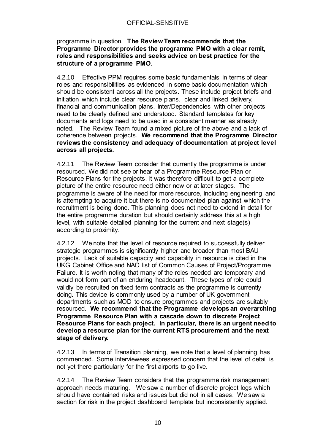#### programme in question. **The Review Team recommends that the Programme Director provides the programme PMO with a clear remit, roles and responsibilities and seeks advice on best practice for the structure of a programme PMO.**

4.2.10 Effective PPM requires some basic fundamentals in terms of clear roles and responsibilities as evidenced in some basic documentation which should be consistent across all the projects. These include project briefs and initiation which include clear resource plans, clear and linked delivery, financial and communication plans. Inter/Dependencies with other projects need to be clearly defined and understood. Standard templates for key documents and logs need to be used in a consistent manner as already noted. The Review Team found a mixed picture of the above and a lack of coherence between projects. **We recommend that the Programme Director reviews the consistency and adequacy of documentation at project level across all projects.**

4.2.11 The Review Team consider that currently the programme is under resourced. We did not see or hear of a Programme Resource Plan or Resource Plans for the projects. It was therefore difficult to get a complete picture of the entire resource need either now or at later stages. The programme is aware of the need for more resource, including engineering and is attempting to acquire it but there is no documented plan against which the recruitment is being done. This planning does not need to extend in detail for the entire programme duration but should certainly address this at a high level, with suitable detailed planning for the current and next stage(s) according to proximity.

4.2.12 We note that the level of resource required to successfully deliver strategic programmes is significantly higher and broader than most BAU projects. Lack of suitable capacity and capability in resource is cited in the UKG Cabinet Office and NAO list of Common Causes of Project/Programme Failure. It is worth noting that many of the roles needed are temporary and would not form part of an enduring headcount. These types of role could validly be recruited on fixed term contracts as the programme is currently doing. This device is commonly used by a number of UK government departments such as MOD to ensure programmes and projects are suitably resourced. **We recommend that the Programme develops an overarching Programme Resource Plan with a cascade down to discrete Project Resource Plans for each project. In particular, there is an urgent need to develop a resource plan for the current RTS procurement and the next stage of delivery.**

4.2.13 In terms of Transition planning, we note that a level of planning has commenced. Some interviewees expressed concern that the level of detail is not yet there particularly for the first airports to go live.

4.2.14 The Review Team considers that the programme risk management approach needs maturing. We saw a number of discrete project logs which should have contained risks and issues but did not in all cases. We saw a section for risk in the project dashboard template but inconsistently applied.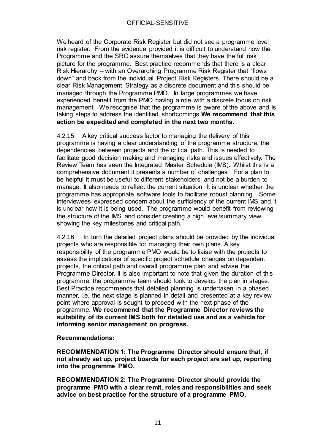We heard of the Corporate Risk Register but did not see a programme level risk register. From the evidence provided it is difficult to understand how the Programme and the SRO assure themselves that they have the full risk picture for the programme. Best practice recommends that there is a clear Risk Hierarchy – with an Overarching Programme Risk Register that "flows down" and back from the individual Project Risk Registers. There should be a clear Risk Management Strategy as a discrete document and this should be managed through the Programme PMO. In large programmes we have experienced benefit from the PMO having a role with a discrete focus on risk management. We recognise that the programme is aware of the above and is taking steps to address the identified shortcomings **We recommend that this action be expedited and completed in the next two months.**

4.2.15 A key critical success factor to managing the delivery of this programme is having a clear understanding of the programme structure, the dependencies between projects and the critical path. This is needed to facilitate good decision making and managing risks and issues effectively. The Review Team has seen the Integrated Master Schedule (IMS). Whilst this is a comprehensive document it presents a number of challenges: For a plan to be helpful it must be useful to different stakeholders and not be a burden to manage. It also needs to reflect the current situation. It is unclear whether the programme has appropriate software tools to facilitate robust planning. Some interviewees expressed concern about the sufficiency of the current IMS and it is unclear how it is being used. The programme would benefit from reviewing the structure of the IMS and consider creating a high level/summary view showing the key milestones and critical path.

4.2.16 In turn the detailed project plans should be provided by the individual projects who are responsible for managing their own plans. A key responsibility of the programme PMO would be to liaise with the projects to assess the implications of specific project schedule changes on dependent projects, the critical path and overall programme plan and advise the Programme Director. It is also important to note that given the duration of this programme, the programme team should look to develop the plan in stages. Best Practice recommends that detailed planning is undertaken in a phased manner, i.e. the next stage is planned in detail and presented at a key review point where approval is sought to proceed with the next phase of the programme. **We recommend that the Programme Director reviews the suitability of its current IMS both for detailed use and as a vehicle for informing senior management on progress.** 

**Recommendations:**

**RECOMMENDATION 1: The Programme Director should ensure that, if not already set up, project boards for each project are set up, reporting into the programme PMO.**

**RECOMMENDATION 2: The Programme Director should provide the programme PMO with a clear remit, roles and responsibilities and seek advice on best practice for the structure of a programme PMO.**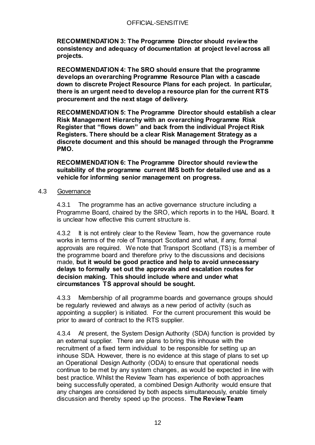**RECOMMENDATION 3: The Programme Director should review the consistency and adequacy of documentation at project level across all projects.**

**RECOMMENDATION 4: The SRO should ensure that the programme develops an overarching Programme Resource Plan with a cascade down to discrete Project Resource Plans for each project. In particular, there is an urgent need to develop a resource plan for the current RTS procurement and the next stage of delivery.**

**RECOMMENDATION 5: The Programme Director should establish a clear Risk Management Hierarchy with an overarching Programme Risk Register that "flows down" and back from the individual Project Risk Registers. There should be a clear Risk Management Strategy as a discrete document and this should be managed through the Programme PMO.**

**RECOMMENDATION 6: The Programme Director should review the suitability of the programme current IMS both for detailed use and as a vehicle for informing senior management on progress.** 

#### <span id="page-11-0"></span>4.3 Governance

4.3.1 The programme has an active governance structure including a Programme Board, chaired by the SRO, which reports in to the HIAL Board. It is unclear how effective this current structure is.

4.3.2 It is not entirely clear to the Review Team, how the governance route works in terms of the role of Transport Scotland and what, if any, formal approvals are required. We note that Transport Scotland (TS) is a member of the programme board and therefore privy to the discussions and decisions made, **but it would be good practice and help to avoid unnecessary delays to formally set out the approvals and escalation routes for decision making. This should include where and under what circumstances TS approval should be sought.**

4.3.3 Membership of all programme boards and governance groups should be regularly reviewed and always as a new period of activity (such as appointing a supplier) is initiated. For the current procurement this would be prior to award of contract to the RTS supplier.

4.3.4 At present, the System Design Authority (SDA) function is provided by an external supplier. There are plans to bring this inhouse with the recruitment of a fixed term individual to be responsible for setting up an inhouse SDA. However, there is no evidence at this stage of plans to set up an Operational Design Authority (ODA) to ensure that operational needs continue to be met by any system changes, as would be expected in line with best practice. Whilst the Review Team has experience of both approaches being successfully operated, a combined Design Authority would ensure that any changes are considered by both aspects simultaneously, enable timely discussion and thereby speed up the process. **The Review Team**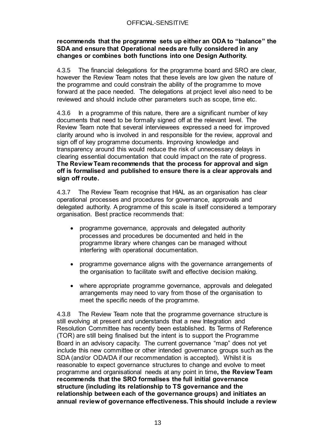#### **recommends that the programme sets up either an ODA to "balance" the SDA and ensure that Operational needs are fully considered in any changes or combines both functions into one Design Authority.**

4.3.5 The financial delegations for the programme board and SRO are clear, however the Review Team notes that these levels are low given the nature of the programme and could constrain the ability of the programme to move forward at the pace needed. The delegations at project level also need to be reviewed and should include other parameters such as scope, time etc.

4.3.6 In a programme of this nature, there are a significant number of key documents that need to be formally signed off at the relevant level. The Review Team note that several interviewees expressed a need for improved clarity around who is involved in and responsible for the review, approval and sign off of key programme documents. Improving knowledge and transparency around this would reduce the risk of unnecessary delays in clearing essential documentation that could impact on the rate of progress. **The Review Team recommends that the process for approval and sign off is formalised and published to ensure there is a clear approvals and sign off route.**

4.3.7 The Review Team recognise that HIAL as an organisation has clear operational processes and procedures for governance, approvals and delegated authority. A programme of this scale is itself considered a temporary organisation. Best practice recommends that:

- programme governance, approvals and delegated authority processes and procedures be documented and held in the programme library where changes can be managed without interfering with operational documentation.
- programme governance aligns with the governance arrangements of the organisation to facilitate swift and effective decision making.
- where appropriate programme governance, approvals and delegated arrangements may need to vary from those of the organisation to meet the specific needs of the programme.

4.3.8 The Review Team note that the programme governance structure is still evolving at present and understands that a new Integration and Resolution Committee has recently been established. Its Terms of Reference (TOR) are still being finalised but the intent is to support the Programme Board in an advisory capacity. The current governance "map" does not yet include this new committee or other intended governance groups such as the SDA (and/or ODA/DA if our recommendation is accepted). Whilst it is reasonable to expect governance structures to change and evolve to meet programme and organisational needs at any point in time**, the Review Team recommends that the SRO formalises the full initial governance structure (including its relationship to TS governance and the relationship between each of the governance groups) and initiates an annual review of governance effectiveness. This should include a review**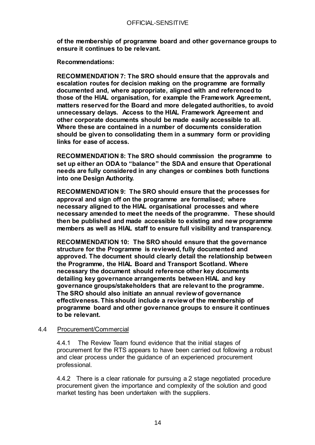**of the membership of programme board and other governance groups to ensure it continues to be relevant.**

**Recommendations:**

**RECOMMENDATION 7: The SRO should ensure that the approvals and escalation routes for decision making on the programme are formally documented and, where appropriate, aligned with and referenced to those of the HIAL organisation, for example the Framework Agreement, matters reserved for the Board and more delegated authorities, to avoid unnecessary delays. Access to the HIAL Framework Agreement and other corporate documents should be made easily accessible to all. Where these are contained in a number of documents consideration should be given to consolidating them in a summary form or providing links for ease of access.**

**RECOMMENDATION 8: The SRO should commission the programme to set up either an ODA to "balance" the SDA and ensure that Operational needs are fully considered in any changes or combines both functions into one Design Authority.**

**RECOMMENDATION 9: The SRO should ensure that the processes for approval and sign off on the programme are formalised; where necessary aligned to the HIAL organisational processes and where necessary amended to meet the needs of the programme. These should then be published and made accessible to existing and new programme members as well as HIAL staff to ensure full visibility and transparency.** 

**RECOMMENDATION 10: The SRO should ensure that the governance structure for the Programme is reviewed, fully documented and approved. The document should clearly detail the relationship between the Programme, the HIAL Board and Transport Scotland. Where necessary the document should reference other key documents detailing key governance arrangements between HIAL and key governance groups/stakeholders that are relevant to the programme. The SRO should also initiate an annual review of governance effectiveness. This should include a review of the membership of programme board and other governance groups to ensure it continues to be relevant.** 

#### <span id="page-13-0"></span>4.4 Procurement/Commercial

4.4.1 The Review Team found evidence that the initial stages of procurement for the RTS appears to have been carried out following a robust and clear process under the guidance of an experienced procurement professional.

4.4.2 There is a clear rationale for pursuing a 2 stage negotiated procedure procurement given the importance and complexity of the solution and good market testing has been undertaken with the suppliers.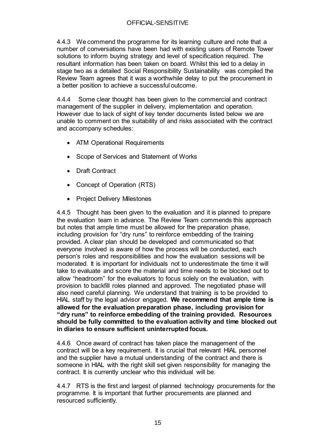4.4.3 We commend the programme for its learning culture and note that a number of conversations have been had with existing users of Remote Tower solutions to inform buying strategy and level of specification required. The resultant information has been taken on board. Whilst this led to a delay in stage two as a detailed Social Responsibility Sustainability was compiled the Review Team agrees that it was a worthwhile delay to put the procurement in a better position to achieve a successful outcome.

4.4.4 Some clear thought has been given to the commercial and contract management of the supplier in delivery, implementation and operation. However due to lack of sight of key tender documents listed below we are unable to comment on the suitability of and risks associated with the contract and accompany schedules:

- ATM Operational Requirements
- Scope of Services and Statement of Works
- Draft Contract
- Concept of Operation (RTS)
- Project Delivery Milestones

4.4.5 Thought has been given to the evaluation and it is planned to prepare the evaluation team in advance. The Review Team commends this approach but notes that ample time must be allowed for the preparation phase, including provision for "dry runs" to reinforce embedding of the training provided. A clear plan should be developed and communicated so that everyone involved is aware of how the process will be conducted, each person's roles and responsibilities and how the evaluation sessions will be moderated. It is important for individuals not to underestimate the time it will take to evaluate and score the material and time needs to be blocked out to allow "headroom" for the evaluators to focus solely on the evaluation, with provision to backfill roles planned and approved. The negotiated phase will also need careful planning. We understand that training is to be provided to HIAL staff by the legal advisor engaged. **We recommend that ample time is allowed for the evaluation preparation phase, including provision for "dry runs" to reinforce embedding of the training provided. Resources should be fully committed to the evaluation activity and time blocked out in diaries to ensure sufficient uninterrupted focus.** 

4.4.6 Once award of contract has taken place the management of the contract will be a key requirement. It is crucial that relevant HIAL personnel and the supplier have a mutual understanding of the contract and there is someone in HIAL with the right skill set given responsibility for managing the contract. It is currently unclear who this individual will be.

4.4.7 RTS is the first and largest of planned technology procurements for the programme. It is important that further procurements are planned and resourced sufficiently.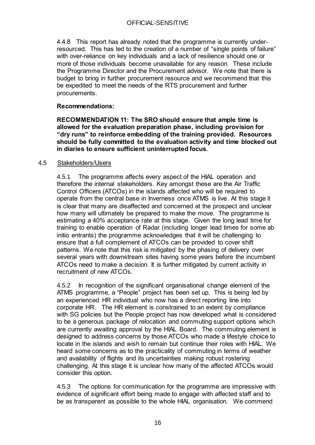4.4.8 This report has already noted that the programme is currently underresourced. This has led to the creation of a number of "single points of failure" with over-reliance on key individuals and a lack of resilience should one or more of those individuals become unavailable for any reason. These include the Programme Director and the Procurement advisor. We note that there is budget to bring in further procurement resource and we recommend that this be expedited to meet the needs of the RTS procurement and further procurements.

## **Recommendations:**

**RECOMMENDATION 11: The SRO should ensure that ample time is allowed for the evaluation preparation phase, including provision for "dry runs" to reinforce embedding of the training provided. Resources should be fully committed to the evaluation activity and time blocked out in diaries to ensure sufficient uninterrupted focus.** 

#### <span id="page-15-0"></span>4.5 Stakeholders/Users

4.5.1 The programme affects every aspect of the HIAL operation and therefore the internal stakeholders. Key amongst these are the Air Traffic Control Officers (ATCOs) in the islands affected who will be required to operate from the central base in Inverness once ATMS is live. At this stage it is clear that many are disaffected and concerned at the prospect and unclear how many will ultimately be prepared to make the move. The programme is estimating a 40% acceptance rate at this stage. Given the long lead time for training to enable operation of Radar (including longer lead times for some ab initio entrants) the programme acknowledges that it will be challenging to ensure that a full complement of ATCOs can be provided to cover shift patterns. We note that this risk is mitigated by the phasing of delivery over several years with downstream sites having some years before the incumbent ATCOs need to make a decision. It is further mitigated by current activity in recruitment of new ATCOs.

4.5.2 In recognition of the significant organisational change element of the ATMS programme, a "People" project has been set up. This is being led by an experienced HR individual who now has a direct reporting line into corporate HR. The HR element is constrained to an extent by compliance with SG policies but the People project has now developed what is considered to be a generous package of relocation and commuting support options which are currently awaiting approval by the HIAL Board. The commuting element is designed to address concerns by those ATCOs who made a lifestyle choice to locate in the islands and wish to remain but continue their roles with HIAL. We heard some concerns as to the practicality of commuting in terms of weather and availability of flights and its uncertainties making robust rostering challenging. At this stage it is unclear how many of the affected ATCOs would consider this option.

4.5.3 The options for communication for the programme are impressive with evidence of significant effort being made to engage with affected staff and to be as transparent as possible to the whole HIAL organisation. We commend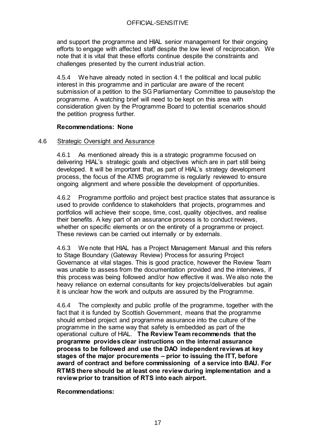and support the programme and HIAL senior management for their ongoing efforts to engage with affected staff despite the low level of reciprocation. We note that it is vital that these efforts continue despite the constraints and challenges presented by the current industrial action.

4.5.4 We have already noted in section 4.1 the political and local public interest in this programme and in particular are aware of the recent submission of a petition to the SG Parliamentary Committee to pause/stop the programme. A watching brief will need to be kept on this area with consideration given by the Programme Board to potential scenarios should the petition progress further.

#### **Recommendations: None**

## <span id="page-16-0"></span>4.6 Strategic Oversight and Assurance

4.6.1 As mentioned already this is a strategic programme focused on delivering HIAL's strategic goals and objectives which are in part still being developed. It will be important that, as part of HIAL's strategy development process, the focus of the ATMS programme is regularly reviewed to ensure ongoing alignment and where possible the development of opportunities.

4.6.2 Programme portfolio and project best practice states that assurance is used to provide confidence to stakeholders that projects, programmes and portfolios will achieve their scope, time, cost, quality objectives, and realise their benefits. A key part of an assurance process is to conduct reviews, whether on specific elements or on the entirety of a programme or project. These reviews can be carried out internally or by externals.

4.6.3 We note that HIAL has a Project Management Manual and this refers to Stage Boundary (Gateway Review) Process for assuring Project Governance at vital stages. This is good practice, however the Review Team was unable to assess from the documentation provided and the interviews, if this process was being followed and/or how effective it was. We also note the heavy reliance on external consultants for key projects/deliverables but again it is unclear how the work and outputs are assured by the Programme.

4.6.4 The complexity and public profile of the programme, together with the fact that it is funded by Scottish Government, means that the programme should embed project and programme assurance into the culture of the programme in the same way that safety is embedded as part of the operational culture of HIAL. **The Review Team recommends that the programme provides clear instructions on the internal assurance process to be followed and use the DAO independent reviews at key stages of the major procurements – prior to issuing the ITT, before award of contract and before commissioning of a service into BAU. For RTMS there should be at least one review during implementation and a review prior to transition of RTS into each airport.**

#### **Recommendations:**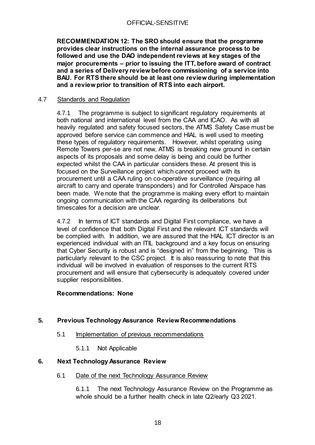**RECOMMENDATION 12: The SRO should ensure that the programme provides clear instructions on the internal assurance process to be followed and use the DAO independent reviews at key stages of the major procurements – prior to issuing the ITT, before award of contract and a series of Delivery review before commissioning of a service into BAU. For RTS there should be at least one review during implementation and a review prior to transition of RTS into each airport.**

## <span id="page-17-0"></span>4.7 Standards and Regulation

4.7.1 The programme is subject to significant regulatory requirements at both national and international level from the CAA and ICAO. As with all heavily regulated and safety focused sectors, the ATMS Safety Case must be approved before service can commence and HIAL is well used to meeting these types of regulatory requirements. However, whilst operating using Remote Towers per-se are not new, ATMS is breaking new ground in certain aspects of its proposals and some delay is being and could be further expected whilst the CAA in particular considers these. At present this is focused on the Surveillance project which cannot proceed with its procurement until a CAA ruling on co-operative surveillance (requiring all aircraft to carry and operate transponders) and for Controlled Airspace has been made. We note that the programme is making every effort to maintain ongoing communication with the CAA regarding its deliberations but timescales for a decision are unclear.

4.7.2 In terms of ICT standards and Digital First compliance, we have a level of confidence that both Digital First and the relevant ICT standards will be complied with. In addition, we are assured that the HIAL ICT director is an experienced individual with an ITIL background and a key focus on ensuring that Cyber Security is robust and is "designed in" from the beginning. This is particularly relevant to the CSC project. It is also reassuring to note that this individual will be involved in evaluation of responses to the current RTS procurement and will ensure that cybersecurity is adequately covered under supplier responsibilities.

#### **Recommendations: None**

## <span id="page-17-2"></span><span id="page-17-1"></span>**5. Previous Technology Assurance Review Recommendations**

- 5.1 Implementation of previous recommendations
	- 5.1.1 Not Applicable

#### <span id="page-17-4"></span><span id="page-17-3"></span>**6. Next Technology Assurance Review**

6.1 Date of the next Technology Assurance Review

6.1.1 The next Technology Assurance Review on the Programme as whole should be a further health check in late Q2/early Q3 2021.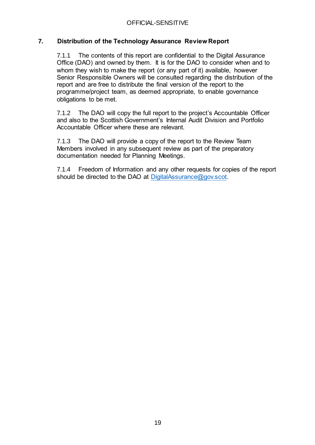## <span id="page-18-0"></span>**7. Distribution of the Technology Assurance Review Report**

7.1.1 The contents of this report are confidential to the Digital Assurance Office (DAO) and owned by them. It is for the DAO to consider when and to whom they wish to make the report (or any part of it) available, however Senior Responsible Owners will be consulted regarding the distribution of the report and are free to distribute the final version of the report to the programme/project team, as deemed appropriate, to enable governance obligations to be met.

7.1.2 The DAO will copy the full report to the project's Accountable Officer and also to the Scottish Government's Internal Audit Division and Portfolio Accountable Officer where these are relevant.

7.1.3 The DAO will provide a copy of the report to the Review Team Members involved in any subsequent review as part of the preparatory documentation needed for Planning Meetings.

7.1.4 Freedom of Information and any other requests for copies of the report should be directed to the DAO at [DigitalAssurance@gov.scot.](mailto:DigitalAssurance@gov.scot)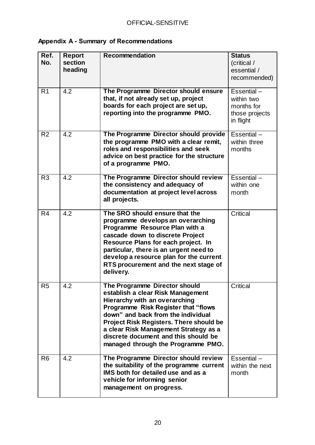# <span id="page-19-0"></span>**Appendix A - Summary of Recommendations**

| Ref.           | Report           | <b>Recommendation</b>                          | <b>Status</b>   |
|----------------|------------------|------------------------------------------------|-----------------|
| No.            | section          |                                                | (critical /     |
|                | heading          |                                                | essential /     |
|                |                  |                                                | recommended)    |
|                |                  |                                                |                 |
| R <sub>1</sub> | 4.2              | The Programme Director should ensure           | Essential-      |
|                |                  | that, if not already set up, project           | within two      |
|                |                  | boards for each project are set up,            | months for      |
|                |                  | reporting into the programme PMO.              | those projects  |
|                |                  |                                                | in flight       |
|                |                  |                                                |                 |
| R <sub>2</sub> | $\overline{4.2}$ | The Programme Director should provide          | Essential-      |
|                |                  | the programme PMO with a clear remit,          | within three    |
|                |                  | roles and responsibilities and seek            | months          |
|                |                  | advice on best practice for the structure      |                 |
|                |                  | of a programme PMO.                            |                 |
|                |                  |                                                |                 |
| R <sub>3</sub> | 4.2              | The Programme Director should review           | Essential $-$   |
|                |                  | the consistency and adequacy of                | within one      |
|                |                  | documentation at project level across          | month           |
|                |                  | all projects.                                  |                 |
|                |                  |                                                |                 |
| R <sub>4</sub> | 4.2              | The SRO should ensure that the                 | Critical        |
|                |                  | programme develops an overarching              |                 |
|                |                  | Programme Resource Plan with a                 |                 |
|                |                  | cascade down to discrete Project               |                 |
|                |                  | Resource Plans for each project. In            |                 |
|                |                  | particular, there is an urgent need to         |                 |
|                |                  | develop a resource plan for the current        |                 |
|                |                  | RTS procurement and the next stage of          |                 |
|                |                  | delivery.                                      |                 |
|                |                  |                                                |                 |
| R <sub>5</sub> | 4.2              | The Programme Director should                  | Critical        |
|                |                  | establish a clear Risk Management              |                 |
|                |                  | Hierarchy with an overarching                  |                 |
|                |                  | <b>Programme Risk Register that "flows</b>     |                 |
|                |                  | down" and back from the individual             |                 |
|                |                  | <b>Project Risk Registers. There should be</b> |                 |
|                |                  | a clear Risk Management Strategy as a          |                 |
|                |                  | discrete document and this should be           |                 |
|                |                  | managed through the Programme PMO.             |                 |
| R <sub>6</sub> | 4.2              | The Programme Director should review           | Essential-      |
|                |                  | the suitability of the programme current       | within the next |
|                |                  | IMS both for detailed use and as a             | month           |
|                |                  | vehicle for informing senior                   |                 |
|                |                  | management on progress.                        |                 |
|                |                  |                                                |                 |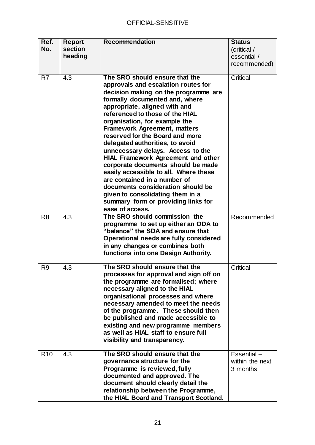| Ref.<br>No.     | <b>Report</b><br>section | <b>Recommendation</b>                                                           | <b>Status</b><br>(critical / |
|-----------------|--------------------------|---------------------------------------------------------------------------------|------------------------------|
|                 | heading                  |                                                                                 | essential /                  |
|                 |                          |                                                                                 | recommended)                 |
| R <sub>7</sub>  | 4.3                      | The SRO should ensure that the<br>approvals and escalation routes for           | Critical                     |
|                 |                          | decision making on the programme are                                            |                              |
|                 |                          | formally documented and, where                                                  |                              |
|                 |                          | appropriate, aligned with and                                                   |                              |
|                 |                          | referenced to those of the HIAL                                                 |                              |
|                 |                          | organisation, for example the                                                   |                              |
|                 |                          | <b>Framework Agreement, matters</b>                                             |                              |
|                 |                          | reserved for the Board and more                                                 |                              |
|                 |                          | delegated authorities, to avoid                                                 |                              |
|                 |                          | unnecessary delays. Access to the                                               |                              |
|                 |                          | <b>HIAL Framework Agreement and other</b><br>corporate documents should be made |                              |
|                 |                          | easily accessible to all. Where these                                           |                              |
|                 |                          | are contained in a number of                                                    |                              |
|                 |                          | documents consideration should be                                               |                              |
|                 |                          | given to consolidating them in a                                                |                              |
|                 |                          | summary form or providing links for                                             |                              |
|                 |                          | ease of access.                                                                 |                              |
| R <sub>8</sub>  | 4.3                      | The SRO should commission the                                                   | Recommended                  |
|                 |                          | programme to set up either an ODA to                                            |                              |
|                 |                          | "balance" the SDA and ensure that                                               |                              |
|                 |                          | Operational needs are fully considered                                          |                              |
|                 |                          | in any changes or combines both<br>functions into one Design Authority.         |                              |
|                 |                          |                                                                                 |                              |
| R <sub>9</sub>  | 4.3                      | The SRO should ensure that the                                                  | Critical                     |
|                 |                          | processes for approval and sign off on<br>the programme are formalised; where   |                              |
|                 |                          | necessary aligned to the HIAL                                                   |                              |
|                 |                          | organisational processes and where                                              |                              |
|                 |                          | necessary amended to meet the needs                                             |                              |
|                 |                          | of the programme. These should then                                             |                              |
|                 |                          | be published and made accessible to                                             |                              |
|                 |                          | existing and new programme members                                              |                              |
|                 |                          | as well as HIAL staff to ensure full                                            |                              |
|                 |                          | visibility and transparency.                                                    |                              |
| R <sub>10</sub> | 4.3                      | The SRO should ensure that the                                                  | Essential-                   |
|                 |                          | governance structure for the                                                    | within the next              |
|                 |                          | Programme is reviewed, fully                                                    | 3 months                     |
|                 |                          | documented and approved. The                                                    |                              |
|                 |                          | document should clearly detail the                                              |                              |
|                 |                          | relationship between the Programme,                                             |                              |
|                 |                          | the HIAL Board and Transport Scotland.                                          |                              |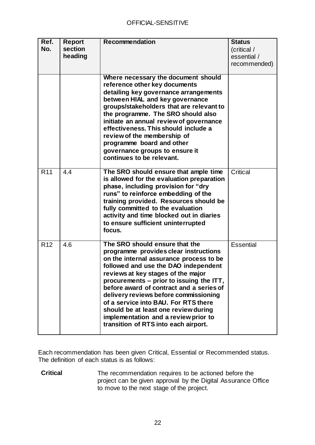| Ref.<br>No.     | <b>Report</b><br>section<br>heading | <b>Recommendation</b>                                                                                                                                                                                                                                                                                                                                                                                                                                                                             | <b>Status</b><br>(critical /<br>essential /<br>recommended) |
|-----------------|-------------------------------------|---------------------------------------------------------------------------------------------------------------------------------------------------------------------------------------------------------------------------------------------------------------------------------------------------------------------------------------------------------------------------------------------------------------------------------------------------------------------------------------------------|-------------------------------------------------------------|
|                 |                                     | Where necessary the document should<br>reference other key documents<br>detailing key governance arrangements<br>between HIAL and key governance<br>groups/stakeholders that are relevant to<br>the programme. The SRO should also<br>initiate an annual review of governance<br>effectiveness. This should include a<br>review of the membership of<br>programme board and other<br>governance groups to ensure it<br>continues to be relevant.                                                  |                                                             |
| R <sub>11</sub> | 4.4                                 | The SRO should ensure that ample time<br>is allowed for the evaluation preparation<br>phase, including provision for "dry<br>runs" to reinforce embedding of the<br>training provided. Resources should be<br>fully committed to the evaluation<br>activity and time blocked out in diaries<br>to ensure sufficient uninterrupted<br>focus.                                                                                                                                                       | Critical                                                    |
| R <sub>12</sub> | 4.6                                 | The SRO should ensure that the<br>programme provides clear instructions<br>on the internal assurance process to be<br>followed and use the DAO independent<br>reviews at key stages of the major<br>procurements – prior to issuing the ITT,<br>before award of contract and a series of<br>delivery reviews before commissioning<br>of a service into BAU. For RTS there<br>should be at least one review during<br>implementation and a review prior to<br>transition of RTS into each airport. | <b>Essential</b>                                            |

Each recommendation has been given Critical, Essential or Recommended status. The definition of each status is as follows:

**Critical** The recommendation requires to be actioned before the project can be given approval by the Digital Assurance Office to move to the next stage of the project.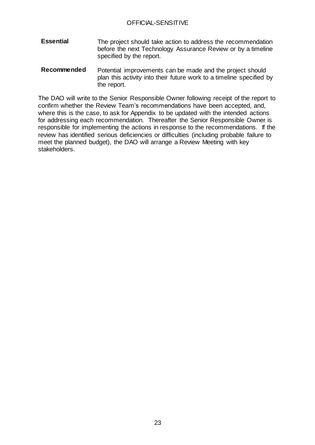- **Essential** The project should take action to address the recommendation before the next Technology Assurance Review or by a timeline specified by the report.
- **Recommended** Potential improvements can be made and the project should plan this activity into their future work to a timeline specified by the report.

The DAO will write to the Senior Responsible Owner following receipt of the report to confirm whether the Review Team's recommendations have been accepted, and, where this is the case, to ask for Appendix to be updated with the intended actions for addressing each recommendation. Thereafter the Senior Responsible Owner is responsible for implementing the actions in response to the recommendations. If the review has identified serious deficiencies or difficulties (including probable failure to meet the planned budget), the DAO will arrange a Review Meeting with key stakeholders.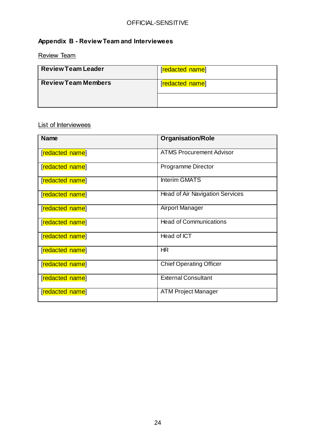# <span id="page-23-0"></span>**Appendix B - Review Team and Interviewees**

<span id="page-23-1"></span>Review Team

| <b>Review Team Leader</b>  | [redacted name] |
|----------------------------|-----------------|
| <b>Review Team Members</b> | [redacted name] |
|                            |                 |

## <span id="page-23-2"></span>List of Interviewees

| <b>Name</b>     | <b>Organisation/Role</b>               |
|-----------------|----------------------------------------|
| [redacted name] | <b>ATMS Procurement Advisor</b>        |
| [redacted name] | Programme Director                     |
| [redacted name] | <b>Interim GMATS</b>                   |
| [redacted name] | <b>Head of Air Navigation Services</b> |
| [redacted name] | Airport Manager                        |
| [redacted name] | <b>Head of Communications</b>          |
| [redacted name] | Head of ICT                            |
| [redacted name] | HR                                     |
| [redacted name] | <b>Chief Operating Officer</b>         |
| [redacted name] | <b>External Consultant</b>             |
| [redacted name] | <b>ATM Project Manager</b>             |